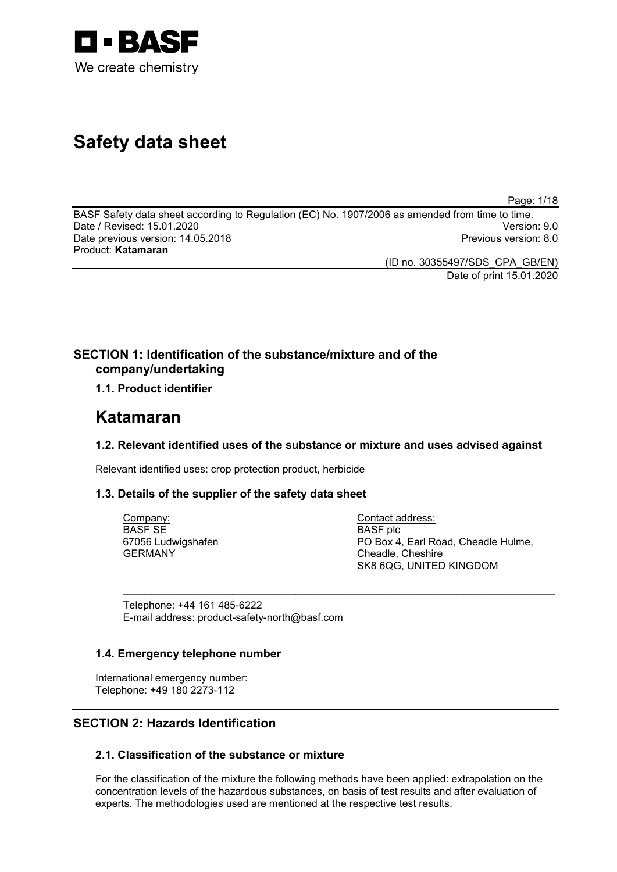

# **Safety data sheet**

Page: 1/18

BASF Safety data sheet according to Regulation (EC) No. 1907/2006 as amended from time to time. Date / Revised: 15.01.2020 Version: 9.0 Date previous version: 14.05.2018 Product: **Katamaran**

> (ID no. 30355497/SDS\_CPA\_GB/EN) Date of print 15.01.2020

**SECTION 1: Identification of the substance/mixture and of the company/undertaking**

# **1.1. Product identifier**

# **Katamaran**

# **1.2. Relevant identified uses of the substance or mixture and uses advised against**

\_\_\_\_\_\_\_\_\_\_\_\_\_\_\_\_\_\_\_\_\_\_\_\_\_\_\_\_\_\_\_\_\_\_\_\_\_\_\_\_\_\_\_\_\_\_\_\_\_\_\_\_\_\_\_\_\_\_\_\_\_\_\_\_\_\_\_\_\_\_\_\_\_\_\_

Relevant identified uses: crop protection product, herbicide

# **1.3. Details of the supplier of the safety data sheet**

Company: BASF SE 67056 Ludwigshafen GERMANY

Contact address: BASF plc PO Box 4, Earl Road, Cheadle Hulme, Cheadle, Cheshire SK8 6QG, UNITED KINGDOM

Telephone: +44 161 485-6222 E-mail address: product-safety-north@basf.com

# **1.4. Emergency telephone number**

International emergency number: Telephone: +49 180 2273-112

# **SECTION 2: Hazards Identification**

# **2.1. Classification of the substance or mixture**

For the classification of the mixture the following methods have been applied: extrapolation on the concentration levels of the hazardous substances, on basis of test results and after evaluation of experts. The methodologies used are mentioned at the respective test results.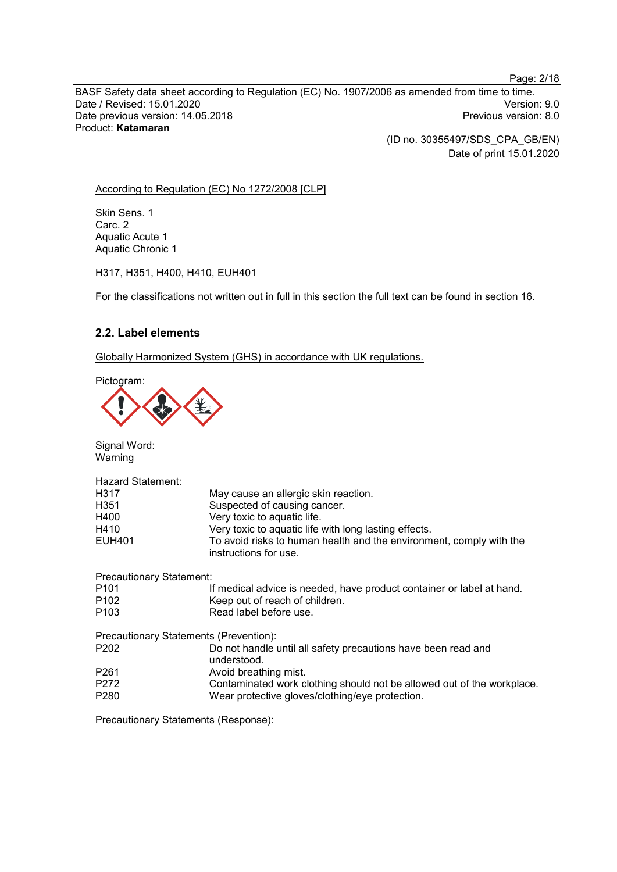BASF Safety data sheet according to Regulation (EC) No. 1907/2006 as amended from time to time. Date / Revised: 15.01.2020 Version: 9.0 Date previous version: 14.05.2018 Product: **Katamaran**

> (ID no. 30355497/SDS\_CPA\_GB/EN) Date of print 15.01.2020

Page: 2/18

#### According to Regulation (EC) No 1272/2008 [CLP]

Skin Sens. 1 Carc. 2 Aquatic Acute 1 Aquatic Chronic 1

H317, H351, H400, H410, EUH401

For the classifications not written out in full in this section the full text can be found in section 16.

# **2.2. Label elements**

Globally Harmonized System (GHS) in accordance with UK regulations.

Pictogram:



Signal Word: Warning

| <b>Hazard Statement:</b>        |                                                                                              |
|---------------------------------|----------------------------------------------------------------------------------------------|
| H317                            | May cause an allergic skin reaction.                                                         |
| H <sub>351</sub>                | Suspected of causing cancer.                                                                 |
| H400                            | Very toxic to aquatic life.                                                                  |
| H410                            | Very toxic to aquatic life with long lasting effects.                                        |
| <b>EUH401</b>                   | To avoid risks to human health and the environment, comply with the<br>instructions for use. |
| <b>Precautionary Statement:</b> |                                                                                              |
| P <sub>101</sub>                | If medical advice is needed, have product container or label at hand.                        |
| P <sub>102</sub>                | Keep out of reach of children.                                                               |
| P <sub>103</sub>                | Read label before use.                                                                       |
|                                 | Precautionary Statements (Prevention):                                                       |
| P <sub>202</sub>                | Do not handle until all safety precautions have been read and<br>understood.                 |
| P <sub>261</sub>                | Avoid breathing mist.                                                                        |
| P <sub>272</sub>                | Contaminated work clothing should not be allowed out of the workplace.                       |
| P <sub>280</sub>                | Wear protective gloves/clothing/eye protection.                                              |
|                                 |                                                                                              |

Precautionary Statements (Response):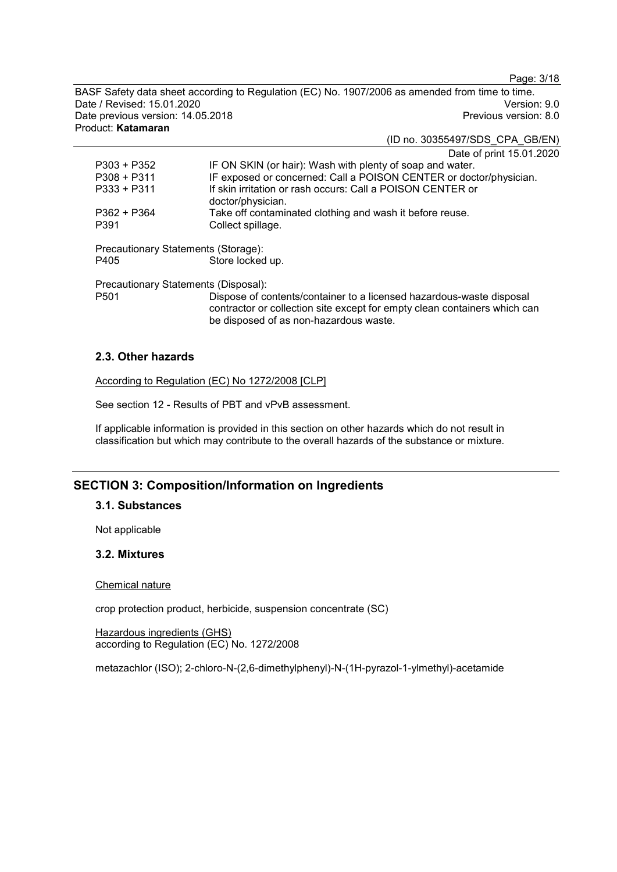Page: 3/18

BASF Safety data sheet according to Regulation (EC) No. 1907/2006 as amended from time to time. Date / Revised: 15.01.2020 Version: 9.0 Date previous version: 14.05.2018 Product: **Katamaran**

(ID no. 30355497/SDS\_CPA\_GB/EN)

|                                      | $\left( \frac{1}{2} \right)$ . The second form $\sigma = 0.7$ , $\sigma = 0.7$ . The second form $\sigma$                                                                                   |
|--------------------------------------|---------------------------------------------------------------------------------------------------------------------------------------------------------------------------------------------|
|                                      | Date of print 15.01.2020                                                                                                                                                                    |
| $P303 + P352$                        | IF ON SKIN (or hair): Wash with plenty of soap and water.                                                                                                                                   |
| $P308 + P311$                        | IF exposed or concerned: Call a POISON CENTER or doctor/physician.                                                                                                                          |
| $P333 + P311$                        | If skin irritation or rash occurs: Call a POISON CENTER or<br>doctor/physician.                                                                                                             |
| $P362 + P364$                        | Take off contaminated clothing and wash it before reuse.                                                                                                                                    |
| P391                                 | Collect spillage.                                                                                                                                                                           |
| Precautionary Statements (Storage):  |                                                                                                                                                                                             |
| P405                                 | Store locked up.                                                                                                                                                                            |
| Precautionary Statements (Disposal): |                                                                                                                                                                                             |
| P <sub>501</sub>                     | Dispose of contents/container to a licensed hazardous-waste disposal<br>contractor or collection site except for empty clean containers which can<br>be disposed of as non-hazardous waste. |

### **2.3. Other hazards**

According to Regulation (EC) No 1272/2008 [CLP]

See section 12 - Results of PBT and vPvB assessment.

If applicable information is provided in this section on other hazards which do not result in classification but which may contribute to the overall hazards of the substance or mixture.

# **SECTION 3: Composition/Information on Ingredients**

#### **3.1. Substances**

Not applicable

#### **3.2. Mixtures**

Chemical nature

crop protection product, herbicide, suspension concentrate (SC)

Hazardous ingredients (GHS) according to Regulation (EC) No. 1272/2008

metazachlor (ISO); 2-chloro-N-(2,6-dimethylphenyl)-N-(1H-pyrazol-1-ylmethyl)-acetamide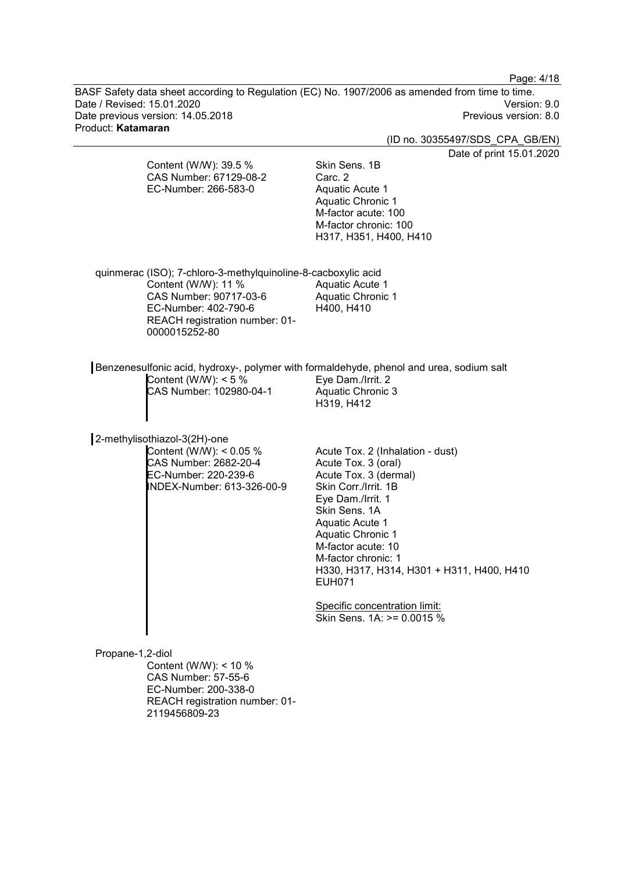Page: 4/18

BASF Safety data sheet according to Regulation (EC) No. 1907/2006 as amended from time to time. Date / Revised: 15.01.2020 Version: 9.0 Date previous version: 14.05.2018 Previous version: 8.0 Product: **Katamaran**

(ID no. 30355497/SDS\_CPA\_GB/EN)

 $\overline{2020}$ 

| Content (W/W): 39.5 %<br>CAS Number: 67129-08-2<br>EC-Number: 266-583-0                                                                                                                   | Date of print 15.01.2<br>Skin Sens. 1B<br>Carc. 2<br>Aquatic Acute 1<br><b>Aquatic Chronic 1</b><br>M-factor acute: 100<br>M-factor chronic: 100<br>H317, H351, H400, H410                                                                                                                                                                                       |
|-------------------------------------------------------------------------------------------------------------------------------------------------------------------------------------------|------------------------------------------------------------------------------------------------------------------------------------------------------------------------------------------------------------------------------------------------------------------------------------------------------------------------------------------------------------------|
| quinmerac (ISO); 7-chloro-3-methylquinoline-8-cacboxylic acid<br>Content (W/W): 11 %<br>CAS Number: 90717-03-6<br>EC-Number: 402-790-6<br>REACH registration number: 01-<br>0000015252-80 | Aquatic Acute 1<br>Aquatic Chronic 1<br>H400, H410                                                                                                                                                                                                                                                                                                               |
| Benzenesulfonic acid, hydroxy-, polymer with formaldehyde, phenol and urea, sodium salt<br>Content (W/W): $<$ 5 %<br>CAS Number: 102980-04-1                                              | Eye Dam./Irrit. 2<br>Aquatic Chronic 3<br>H319, H412                                                                                                                                                                                                                                                                                                             |
| 2-methylisothiazol-3(2H)-one<br>Content (W/W): < 0.05 %<br>CAS Number: 2682-20-4<br>EC-Number: 220-239-6<br>INDEX-Number: 613-326-00-9                                                    | Acute Tox. 2 (Inhalation - dust)<br>Acute Tox. 3 (oral)<br>Acute Tox. 3 (dermal)<br>Skin Corr./Irrit. 1B<br>Eye Dam./Irrit. 1<br>Skin Sens. 1A<br>Aquatic Acute 1<br>Aquatic Chronic 1<br>M-factor acute: 10<br>M-factor chronic: 1<br>H330, H317, H314, H301 + H311, H400, H410<br><b>EUH071</b><br>Specific concentration limit:<br>Skin Sens. 1A: >= 0.0015 % |
| Propane-1,2-diol<br>Content (W/W): $<$ 10 %<br><b>CAS Number: 57-55-6</b><br>EC-Number: 200-338-0<br>REACH registration number: 01-<br>2119456809-23                                      |                                                                                                                                                                                                                                                                                                                                                                  |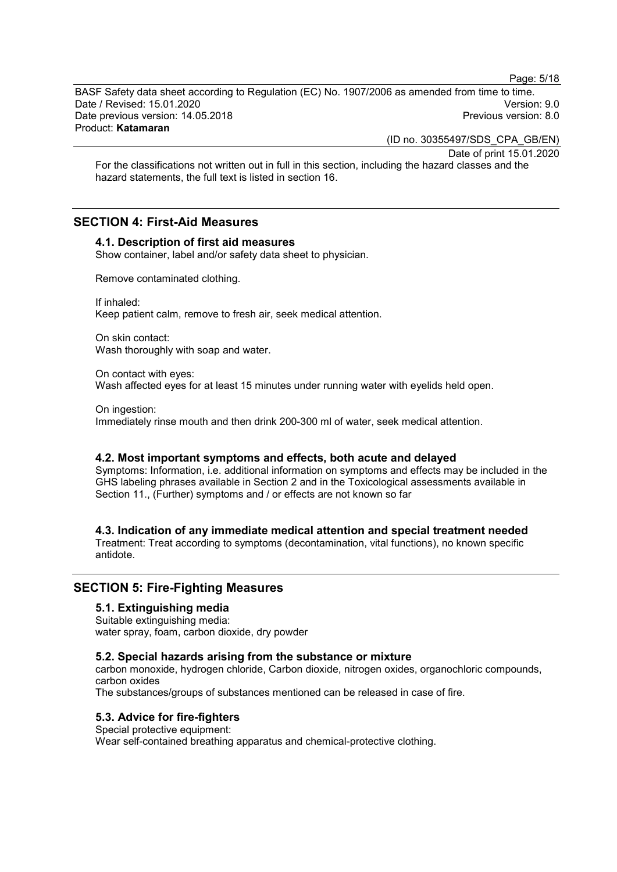Page: 5/18

BASF Safety data sheet according to Regulation (EC) No. 1907/2006 as amended from time to time. Date / Revised: 15.01.2020 Version: 9.0 Date previous version: 14.05.2018 Product: **Katamaran**

(ID no. 30355497/SDS\_CPA\_GB/EN)

Date of print 15.01.2020

For the classifications not written out in full in this section, including the hazard classes and the hazard statements, the full text is listed in section 16.

## **SECTION 4: First-Aid Measures**

#### **4.1. Description of first aid measures**

Show container, label and/or safety data sheet to physician.

Remove contaminated clothing.

If inhaled: Keep patient calm, remove to fresh air, seek medical attention.

On skin contact: Wash thoroughly with soap and water.

On contact with eyes: Wash affected eyes for at least 15 minutes under running water with eyelids held open.

On ingestion: Immediately rinse mouth and then drink 200-300 ml of water, seek medical attention.

#### **4.2. Most important symptoms and effects, both acute and delayed**

Symptoms: Information, i.e. additional information on symptoms and effects may be included in the GHS labeling phrases available in Section 2 and in the Toxicological assessments available in Section 11., (Further) symptoms and / or effects are not known so far

#### **4.3. Indication of any immediate medical attention and special treatment needed**

Treatment: Treat according to symptoms (decontamination, vital functions), no known specific antidote.

#### **SECTION 5: Fire-Fighting Measures**

#### **5.1. Extinguishing media**

Suitable extinguishing media: water spray, foam, carbon dioxide, dry powder

#### **5.2. Special hazards arising from the substance or mixture**

carbon monoxide, hydrogen chloride, Carbon dioxide, nitrogen oxides, organochloric compounds, carbon oxides

The substances/groups of substances mentioned can be released in case of fire.

#### **5.3. Advice for fire-fighters**

Special protective equipment:

Wear self-contained breathing apparatus and chemical-protective clothing.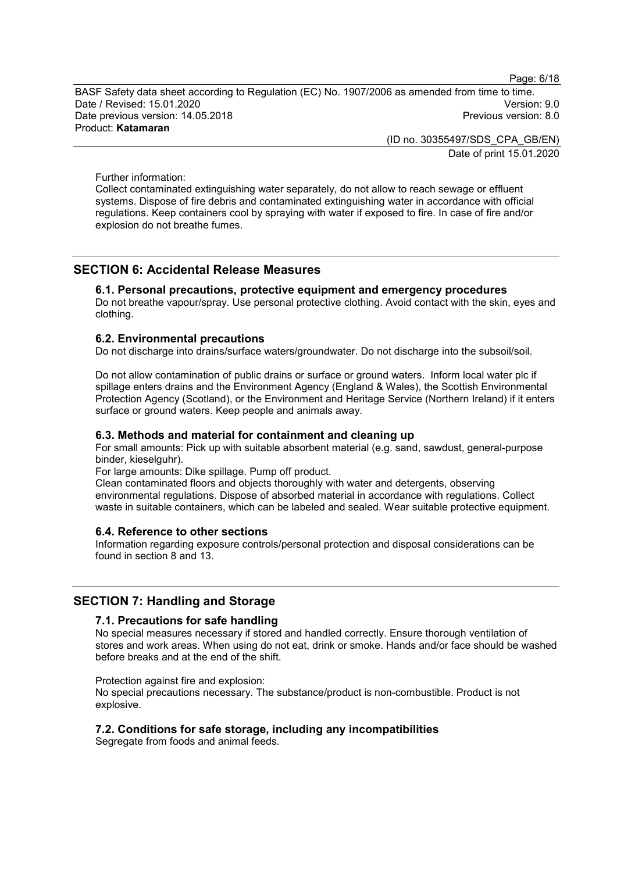Page: 6/18

BASF Safety data sheet according to Regulation (EC) No. 1907/2006 as amended from time to time. Date / Revised: 15.01.2020 Version: 9.0 Date previous version: 14.05.2018 Product: **Katamaran**

> (ID no. 30355497/SDS\_CPA\_GB/EN) Date of print 15.01.2020

Further information:

Collect contaminated extinguishing water separately, do not allow to reach sewage or effluent systems. Dispose of fire debris and contaminated extinguishing water in accordance with official regulations. Keep containers cool by spraying with water if exposed to fire. In case of fire and/or explosion do not breathe fumes.

# **SECTION 6: Accidental Release Measures**

#### **6.1. Personal precautions, protective equipment and emergency procedures**

Do not breathe vapour/spray. Use personal protective clothing. Avoid contact with the skin, eyes and clothing.

#### **6.2. Environmental precautions**

Do not discharge into drains/surface waters/groundwater. Do not discharge into the subsoil/soil.

Do not allow contamination of public drains or surface or ground waters. Inform local water plc if spillage enters drains and the Environment Agency (England & Wales), the Scottish Environmental Protection Agency (Scotland), or the Environment and Heritage Service (Northern Ireland) if it enters surface or ground waters. Keep people and animals away.

#### **6.3. Methods and material for containment and cleaning up**

For small amounts: Pick up with suitable absorbent material (e.g. sand, sawdust, general-purpose binder, kieselguhr).

For large amounts: Dike spillage. Pump off product.

Clean contaminated floors and objects thoroughly with water and detergents, observing environmental regulations. Dispose of absorbed material in accordance with regulations. Collect waste in suitable containers, which can be labeled and sealed. Wear suitable protective equipment.

#### **6.4. Reference to other sections**

Information regarding exposure controls/personal protection and disposal considerations can be found in section 8 and 13.

#### **SECTION 7: Handling and Storage**

### **7.1. Precautions for safe handling**

No special measures necessary if stored and handled correctly. Ensure thorough ventilation of stores and work areas. When using do not eat, drink or smoke. Hands and/or face should be washed before breaks and at the end of the shift.

Protection against fire and explosion: No special precautions necessary. The substance/product is non-combustible. Product is not explosive.

#### **7.2. Conditions for safe storage, including any incompatibilities**

Segregate from foods and animal feeds.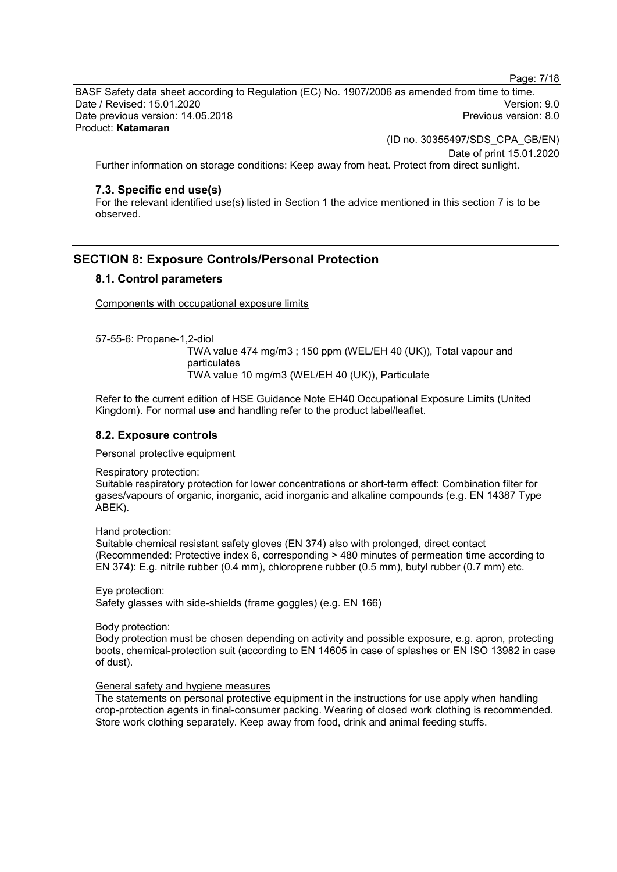Page: 7/18

BASF Safety data sheet according to Regulation (EC) No. 1907/2006 as amended from time to time. Date / Revised: 15.01.2020 Version: 9.0 Date previous version: 14.05.2018 Product: **Katamaran**

(ID no. 30355497/SDS\_CPA\_GB/EN)

Date of print 15.01.2020

Further information on storage conditions: Keep away from heat. Protect from direct sunlight.

#### **7.3. Specific end use(s)**

For the relevant identified use(s) listed in Section 1 the advice mentioned in this section 7 is to be observed.

# **SECTION 8: Exposure Controls/Personal Protection**

#### **8.1. Control parameters**

Components with occupational exposure limits

57-55-6: Propane-1,2-diol

TWA value 474 mg/m3 ; 150 ppm (WEL/EH 40 (UK)), Total vapour and particulates TWA value 10 mg/m3 (WEL/EH 40 (UK)), Particulate

Refer to the current edition of HSE Guidance Note EH40 Occupational Exposure Limits (United Kingdom). For normal use and handling refer to the product label/leaflet.

#### **8.2. Exposure controls**

#### Personal protective equipment

Respiratory protection:

Suitable respiratory protection for lower concentrations or short-term effect: Combination filter for gases/vapours of organic, inorganic, acid inorganic and alkaline compounds (e.g. EN 14387 Type ABEK).

Hand protection:

Suitable chemical resistant safety gloves (EN 374) also with prolonged, direct contact (Recommended: Protective index 6, corresponding > 480 minutes of permeation time according to EN 374): E.g. nitrile rubber (0.4 mm), chloroprene rubber (0.5 mm), butyl rubber (0.7 mm) etc.

Eye protection: Safety glasses with side-shields (frame goggles) (e.g. EN 166)

Body protection:

Body protection must be chosen depending on activity and possible exposure, e.g. apron, protecting boots, chemical-protection suit (according to EN 14605 in case of splashes or EN ISO 13982 in case of dust).

#### General safety and hygiene measures

The statements on personal protective equipment in the instructions for use apply when handling crop-protection agents in final-consumer packing. Wearing of closed work clothing is recommended. Store work clothing separately. Keep away from food, drink and animal feeding stuffs.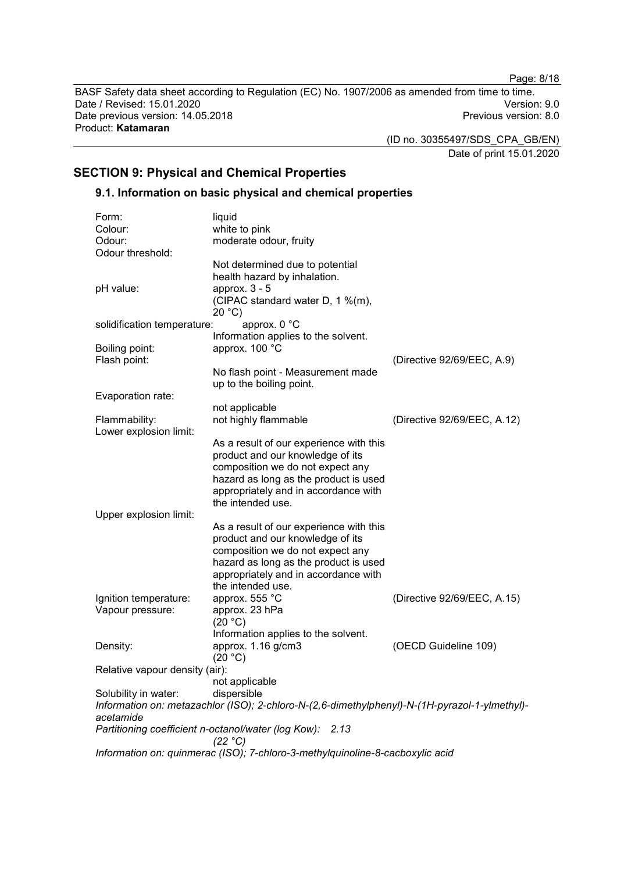BASF Safety data sheet according to Regulation (EC) No. 1907/2006 as amended from time to time. Date / Revised: 15.01.2020 Version: 9.0 Date previous version: 14.05.2018 Product: **Katamaran**

(ID no. 30355497/SDS\_CPA\_GB/EN)

Date of print 15.01.2020

# **SECTION 9: Physical and Chemical Properties**

# **9.1. Information on basic physical and chemical properties**

| Form:                          | liquid                                                                                        |                             |
|--------------------------------|-----------------------------------------------------------------------------------------------|-----------------------------|
| Colour:                        | white to pink                                                                                 |                             |
| Odour:                         | moderate odour, fruity                                                                        |                             |
| Odour threshold:               |                                                                                               |                             |
|                                | Not determined due to potential                                                               |                             |
|                                | health hazard by inhalation.                                                                  |                             |
| pH value:                      | approx. $3 - 5$                                                                               |                             |
|                                | (CIPAC standard water D, 1 %(m),                                                              |                             |
|                                | 20 °C)                                                                                        |                             |
| solidification temperature:    | approx. 0 °C                                                                                  |                             |
|                                | Information applies to the solvent.                                                           |                             |
| Boiling point:                 | approx. 100 °C                                                                                |                             |
| Flash point:                   |                                                                                               | (Directive 92/69/EEC, A.9)  |
|                                | No flash point - Measurement made                                                             |                             |
|                                | up to the boiling point.                                                                      |                             |
| Evaporation rate:              |                                                                                               |                             |
|                                | not applicable                                                                                |                             |
|                                |                                                                                               |                             |
| Flammability:                  | not highly flammable                                                                          | (Directive 92/69/EEC, A.12) |
| Lower explosion limit:         | As a result of our experience with this                                                       |                             |
|                                |                                                                                               |                             |
|                                | product and our knowledge of its                                                              |                             |
|                                | composition we do not expect any                                                              |                             |
|                                | hazard as long as the product is used                                                         |                             |
|                                | appropriately and in accordance with                                                          |                             |
|                                | the intended use.                                                                             |                             |
| Upper explosion limit:         |                                                                                               |                             |
|                                | As a result of our experience with this                                                       |                             |
|                                | product and our knowledge of its                                                              |                             |
|                                | composition we do not expect any                                                              |                             |
|                                | hazard as long as the product is used                                                         |                             |
|                                | appropriately and in accordance with                                                          |                             |
|                                | the intended use.                                                                             |                             |
| Ignition temperature:          | approx. 555 °C                                                                                | (Directive 92/69/EEC, A.15) |
| Vapour pressure:               | approx. 23 hPa                                                                                |                             |
|                                | (20 °C)                                                                                       |                             |
|                                | Information applies to the solvent.                                                           |                             |
| Density:                       | approx. 1.16 g/cm3                                                                            | (OECD Guideline 109)        |
|                                | (20 °C)                                                                                       |                             |
| Relative vapour density (air): |                                                                                               |                             |
|                                | not applicable                                                                                |                             |
| Solubility in water:           | dispersible                                                                                   |                             |
|                                | Information on: metazachlor (ISO); 2-chloro-N-(2,6-dimethylphenyl)-N-(1H-pyrazol-1-ylmethyl)- |                             |
| acetamide                      |                                                                                               |                             |
|                                | Partitioning coefficient n-octanol/water (log Kow):<br>2.13                                   |                             |
|                                | (22 °C)                                                                                       |                             |
|                                | Information on: quinmerac (ISO); 7-chloro-3-methylquinoline-8-cacboxylic acid                 |                             |

Page: 8/18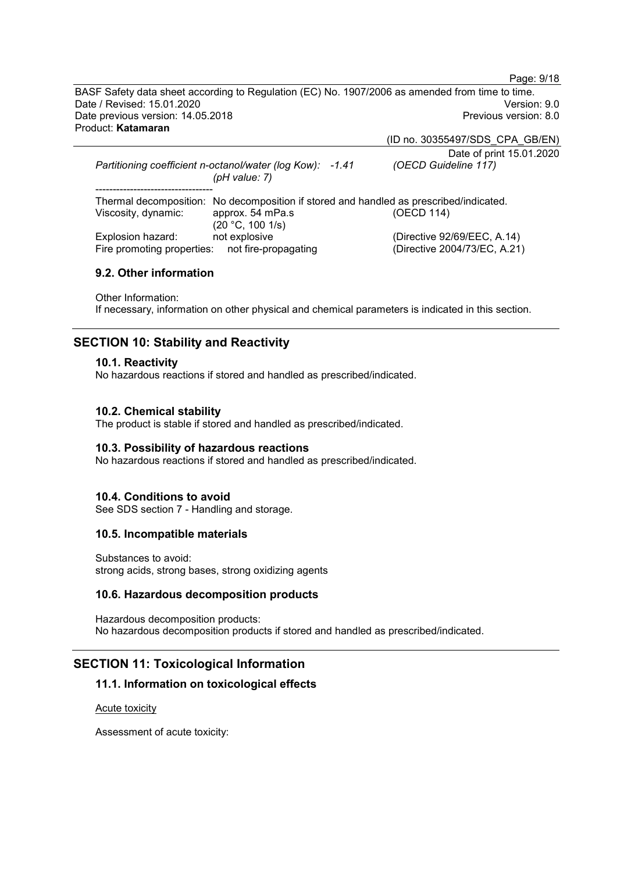Page: 9/18 BASF Safety data sheet according to Regulation (EC) No. 1907/2006 as amended from time to time. Date / Revised: 15.01.2020 Version: 9.0 Date previous version: 14.05.2018 Product: **Katamaran**

(ID no. 30355497/SDS\_CPA\_GB/EN)

Date of print 15.01.2020 *Partitioning coefficient n-octanol/water (log Kow): -1.41 (pH value: 7) (OECD Guideline 117)* ---------------------------------- Thermal decomposition: No decomposition if stored and handled as prescribed/indicated. Viscosity, dynamic: approx. 54 mPa.s  $(20 °C, 100 1/s)$ <br>not explosive (OECD 114) Explosion hazard: not explosive (Directive 92/69/EEC, A.14)<br>Fire promoting properties: not fire-propagating (Directive 2004/73/EC, A.21) Fire promoting properties: not fire-propagating

### **9.2. Other information**

Other Information:

If necessary, information on other physical and chemical parameters is indicated in this section.

# **SECTION 10: Stability and Reactivity**

#### **10.1. Reactivity**

No hazardous reactions if stored and handled as prescribed/indicated.

#### **10.2. Chemical stability**

The product is stable if stored and handled as prescribed/indicated.

#### **10.3. Possibility of hazardous reactions**

No hazardous reactions if stored and handled as prescribed/indicated.

#### **10.4. Conditions to avoid**

See SDS section 7 - Handling and storage.

#### **10.5. Incompatible materials**

Substances to avoid: strong acids, strong bases, strong oxidizing agents

#### **10.6. Hazardous decomposition products**

Hazardous decomposition products: No hazardous decomposition products if stored and handled as prescribed/indicated.

# **SECTION 11: Toxicological Information**

# **11.1. Information on toxicological effects**

Acute toxicity

Assessment of acute toxicity: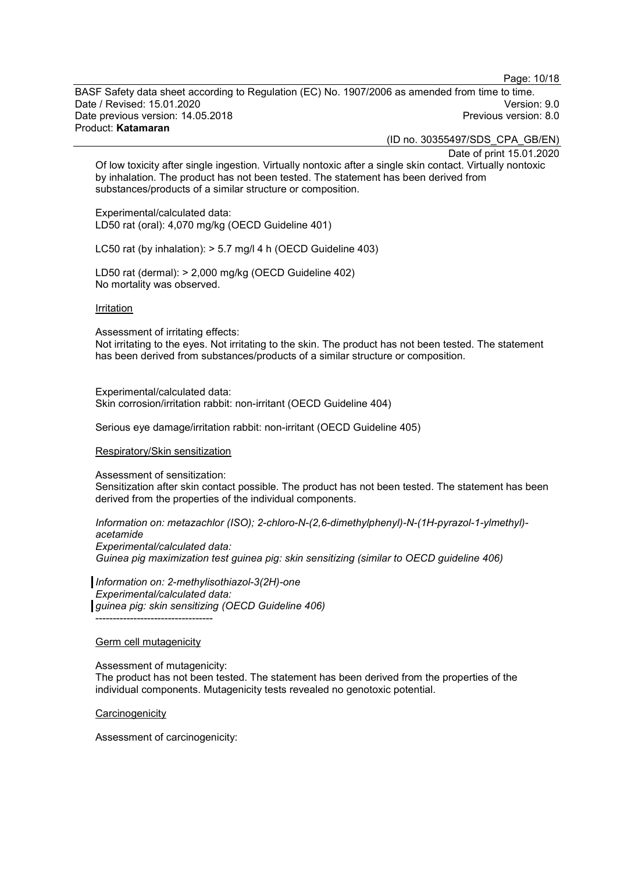Page: 10/18

BASF Safety data sheet according to Regulation (EC) No. 1907/2006 as amended from time to time. Date / Revised: 15.01.2020 Version: 9.0 Date previous version: 14.05.2018 Product: **Katamaran**

(ID no. 30355497/SDS\_CPA\_GB/EN)

Date of print 15.01.2020

Of low toxicity after single ingestion. Virtually nontoxic after a single skin contact. Virtually nontoxic by inhalation. The product has not been tested. The statement has been derived from substances/products of a similar structure or composition.

Experimental/calculated data: LD50 rat (oral): 4,070 mg/kg (OECD Guideline 401)

LC50 rat (by inhalation): > 5.7 mg/l 4 h (OECD Guideline 403)

LD50 rat (dermal): > 2,000 mg/kg (OECD Guideline 402) No mortality was observed.

Irritation

Assessment of irritating effects:

Not irritating to the eyes. Not irritating to the skin. The product has not been tested. The statement has been derived from substances/products of a similar structure or composition.

Experimental/calculated data: Skin corrosion/irritation rabbit: non-irritant (OECD Guideline 404)

Serious eye damage/irritation rabbit: non-irritant (OECD Guideline 405)

Respiratory/Skin sensitization

Assessment of sensitization:

Sensitization after skin contact possible. The product has not been tested. The statement has been derived from the properties of the individual components.

*Information on: metazachlor (ISO); 2-chloro-N-(2,6-dimethylphenyl)-N-(1H-pyrazol-1-ylmethyl) acetamide Experimental/calculated data: Guinea pig maximization test guinea pig: skin sensitizing (similar to OECD guideline 406)*

*Information on: 2-methylisothiazol-3(2H)-one Experimental/calculated data: guinea pig: skin sensitizing (OECD Guideline 406)* ----------------------------------

#### Germ cell mutagenicity

Assessment of mutagenicity:

The product has not been tested. The statement has been derived from the properties of the individual components. Mutagenicity tests revealed no genotoxic potential.

**Carcinogenicity** 

Assessment of carcinogenicity: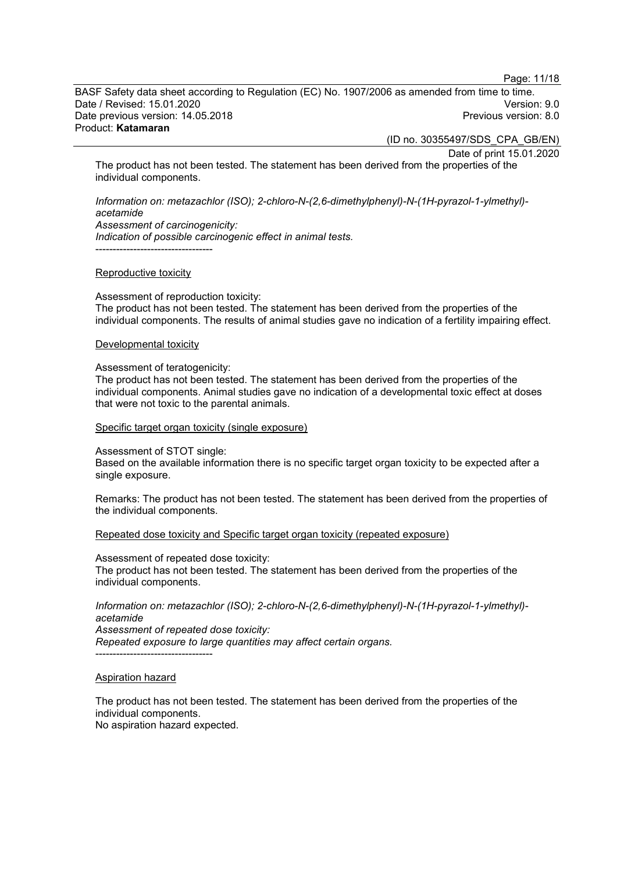Page: 11/18

BASF Safety data sheet according to Regulation (EC) No. 1907/2006 as amended from time to time. Date / Revised: 15.01.2020 Version: 9.0 Date previous version: 14.05.2018 Product: **Katamaran**

(ID no. 30355497/SDS\_CPA\_GB/EN)

Date of print 15.01.2020 The product has not been tested. The statement has been derived from the properties of the individual components.

*Information on: metazachlor (ISO); 2-chloro-N-(2,6-dimethylphenyl)-N-(1H-pyrazol-1-ylmethyl) acetamide Assessment of carcinogenicity: Indication of possible carcinogenic effect in animal tests.* ----------------------------------

#### Reproductive toxicity

Assessment of reproduction toxicity: The product has not been tested. The statement has been derived from the properties of the individual components. The results of animal studies gave no indication of a fertility impairing effect.

#### Developmental toxicity

Assessment of teratogenicity:

The product has not been tested. The statement has been derived from the properties of the individual components. Animal studies gave no indication of a developmental toxic effect at doses that were not toxic to the parental animals.

Specific target organ toxicity (single exposure)

Assessment of STOT single:

Based on the available information there is no specific target organ toxicity to be expected after a single exposure.

Remarks: The product has not been tested. The statement has been derived from the properties of the individual components.

Repeated dose toxicity and Specific target organ toxicity (repeated exposure)

Assessment of repeated dose toxicity:

The product has not been tested. The statement has been derived from the properties of the individual components.

*Information on: metazachlor (ISO); 2-chloro-N-(2,6-dimethylphenyl)-N-(1H-pyrazol-1-ylmethyl) acetamide Assessment of repeated dose toxicity: Repeated exposure to large quantities may affect certain organs.* ----------------------------------

#### Aspiration hazard

The product has not been tested. The statement has been derived from the properties of the individual components. No aspiration hazard expected.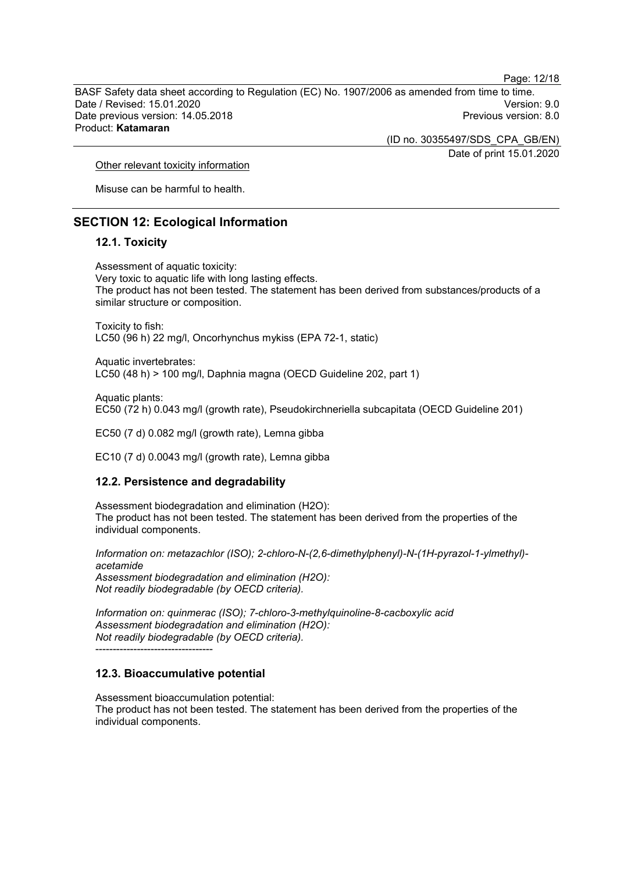Page: 12/18

BASF Safety data sheet according to Regulation (EC) No. 1907/2006 as amended from time to time. Date / Revised: 15.01.2020 Version: 9.0 Date previous version: 14.05.2018 Product: **Katamaran**

> (ID no. 30355497/SDS\_CPA\_GB/EN) Date of print 15.01.2020

Other relevant toxicity information

Misuse can be harmful to health.

# **SECTION 12: Ecological Information**

#### **12.1. Toxicity**

Assessment of aquatic toxicity: Very toxic to aquatic life with long lasting effects. The product has not been tested. The statement has been derived from substances/products of a similar structure or composition.

Toxicity to fish: LC50 (96 h) 22 mg/l, Oncorhynchus mykiss (EPA 72-1, static)

Aquatic invertebrates: LC50 (48 h) > 100 mg/l, Daphnia magna (OECD Guideline 202, part 1)

Aquatic plants: EC50 (72 h) 0.043 mg/l (growth rate), Pseudokirchneriella subcapitata (OECD Guideline 201)

EC50 (7 d) 0.082 mg/l (growth rate), Lemna gibba

EC10 (7 d) 0.0043 mg/l (growth rate), Lemna gibba

#### **12.2. Persistence and degradability**

Assessment biodegradation and elimination (H2O): The product has not been tested. The statement has been derived from the properties of the individual components.

*Information on: metazachlor (ISO); 2-chloro-N-(2,6-dimethylphenyl)-N-(1H-pyrazol-1-ylmethyl) acetamide Assessment biodegradation and elimination (H2O): Not readily biodegradable (by OECD criteria).*

*Information on: quinmerac (ISO); 7-chloro-3-methylquinoline-8-cacboxylic acid Assessment biodegradation and elimination (H2O): Not readily biodegradable (by OECD criteria).*

----------------------------------

#### **12.3. Bioaccumulative potential**

Assessment bioaccumulation potential: The product has not been tested. The statement has been derived from the properties of the individual components.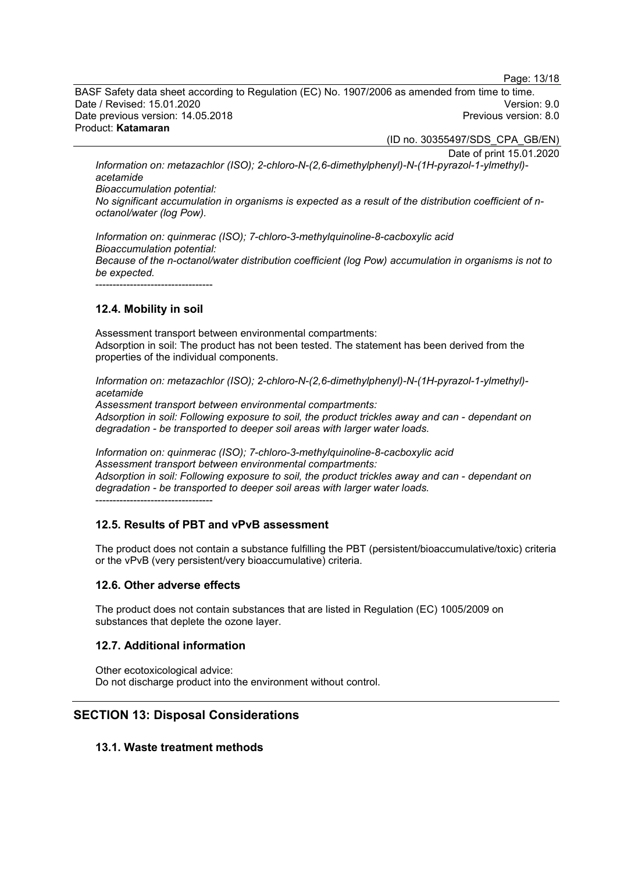Page: 13/18

BASF Safety data sheet according to Regulation (EC) No. 1907/2006 as amended from time to time. Date / Revised: 15.01.2020 Version: 9.0 Date previous version: 14.05.2018 Product: **Katamaran**

(ID no. 30355497/SDS\_CPA\_GB/EN)

Date of print 15.01.2020

*Information on: metazachlor (ISO); 2-chloro-N-(2,6-dimethylphenyl)-N-(1H-pyrazol-1-ylmethyl) acetamide*

*Bioaccumulation potential:*

*No significant accumulation in organisms is expected as a result of the distribution coefficient of noctanol/water (log Pow).*

*Information on: quinmerac (ISO); 7-chloro-3-methylquinoline-8-cacboxylic acid Bioaccumulation potential: Because of the n-octanol/water distribution coefficient (log Pow) accumulation in organisms is not to be expected.* ----------------------------------

### **12.4. Mobility in soil**

Assessment transport between environmental compartments: Adsorption in soil: The product has not been tested. The statement has been derived from the properties of the individual components.

*Information on: metazachlor (ISO); 2-chloro-N-(2,6-dimethylphenyl)-N-(1H-pyrazol-1-ylmethyl) acetamide*

*Assessment transport between environmental compartments: Adsorption in soil: Following exposure to soil, the product trickles away and can - dependant on degradation - be transported to deeper soil areas with larger water loads.*

*Information on: quinmerac (ISO); 7-chloro-3-methylquinoline-8-cacboxylic acid Assessment transport between environmental compartments: Adsorption in soil: Following exposure to soil, the product trickles away and can - dependant on degradation - be transported to deeper soil areas with larger water loads.*

----------------------------------

#### **12.5. Results of PBT and vPvB assessment**

The product does not contain a substance fulfilling the PBT (persistent/bioaccumulative/toxic) criteria or the vPvB (very persistent/very bioaccumulative) criteria.

#### **12.6. Other adverse effects**

The product does not contain substances that are listed in Regulation (EC) 1005/2009 on substances that deplete the ozone layer.

#### **12.7. Additional information**

Other ecotoxicological advice: Do not discharge product into the environment without control.

# **SECTION 13: Disposal Considerations**

#### **13.1. Waste treatment methods**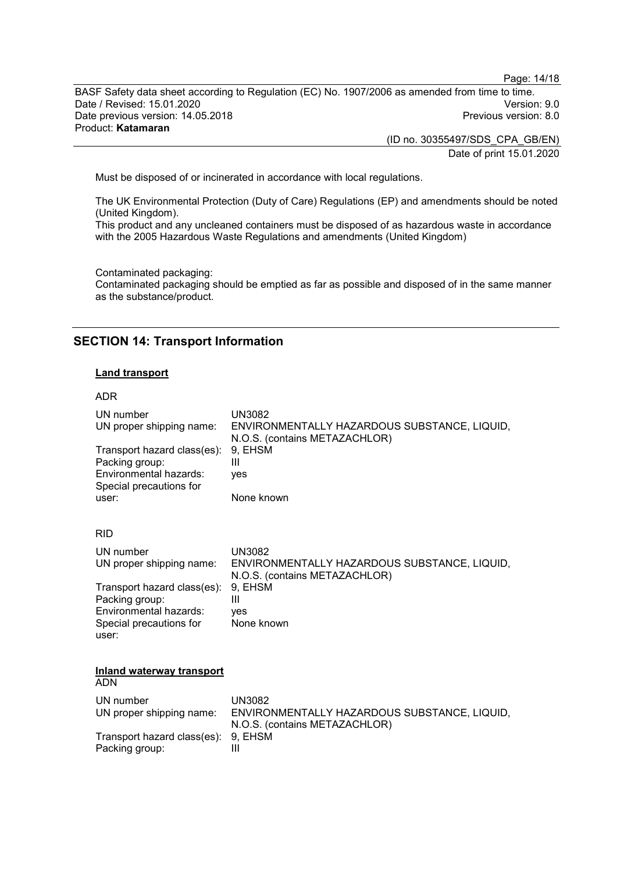Page: 14/18

BASF Safety data sheet according to Regulation (EC) No. 1907/2006 as amended from time to time. Date / Revised: 15.01.2020 Version: 9.0 Date previous version: 14.05.2018 Product: **Katamaran**

> (ID no. 30355497/SDS\_CPA\_GB/EN) Date of print 15.01.2020

Must be disposed of or incinerated in accordance with local regulations.

The UK Environmental Protection (Duty of Care) Regulations (EP) and amendments should be noted (United Kingdom). This product and any uncleaned containers must be disposed of as hazardous waste in accordance with the 2005 Hazardous Waste Regulations and amendments (United Kingdom)

Contaminated packaging: Contaminated packaging should be emptied as far as possible and disposed of in the same manner as the substance/product.

## **SECTION 14: Transport Information**

#### **Land transport**

#### ADR

| UN number<br>UN proper shipping name:<br>Transport hazard class(es):<br>Packing group:<br>Environmental hazards:<br>Special precautions for<br>user: | <b>UN3082</b><br>ENVIRONMENTALLY HAZARDOUS SUBSTANCE, LIQUID,<br>N.O.S. (contains METAZACHLOR)<br>9, EHSM<br>Ш<br>yes<br>None known |
|------------------------------------------------------------------------------------------------------------------------------------------------------|-------------------------------------------------------------------------------------------------------------------------------------|
| <b>RID</b>                                                                                                                                           |                                                                                                                                     |
| UN number<br>UN proper shipping name:                                                                                                                | <b>UN3082</b><br>ENVIRONMENTALLY HAZARDOUS SUBSTANCE, LIQUID,<br>N.O.S. (contains METAZACHLOR)                                      |
| Transport hazard class(es):<br>Packing group:<br>Environmental hazards:<br>Special precautions for<br>user:                                          | 9, EHSM<br>Ш<br>ves<br>None known                                                                                                   |
| <b>Inland waterway transport</b><br><b>ADN</b>                                                                                                       |                                                                                                                                     |
| UN number<br>UN proper shipping name:                                                                                                                | <b>UN3082</b><br>ENVIRONMENTALLY HAZARDOUS SUBSTANCE, LIQUID,<br>N.O.S. (contains METAZACHLOR)                                      |
| Transport hazard class(es):<br>Packing group:                                                                                                        | 9, EHSM<br>Ш                                                                                                                        |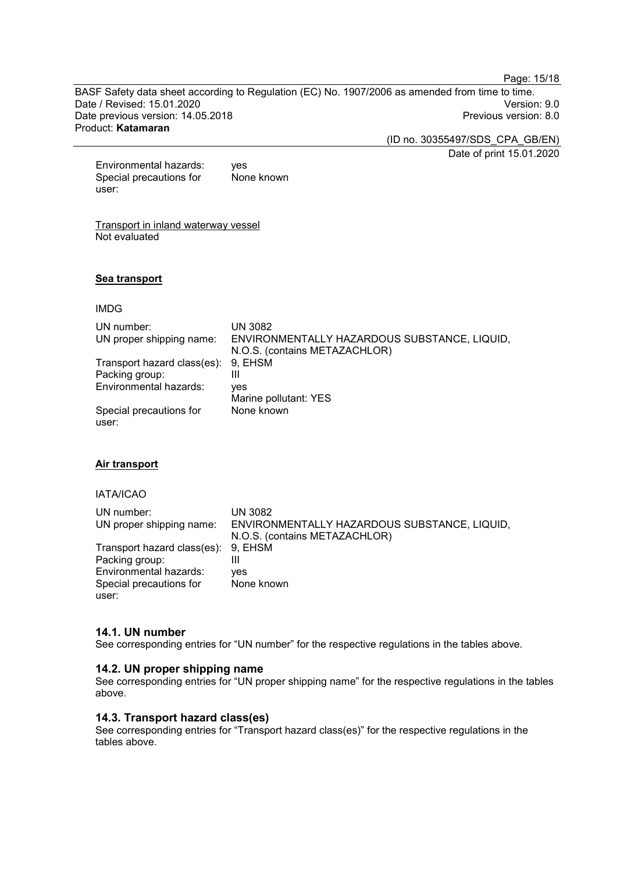Page: 15/18

BASF Safety data sheet according to Regulation (EC) No. 1907/2006 as amended from time to time. Date / Revised: 15.01.2020 Version: 9.0 Date previous version: 14.05.2018 Product: **Katamaran**

(ID no. 30355497/SDS\_CPA\_GB/EN)

Date of print 15.01.2020

Environmental hazards: yes Special precautions for user: None known

Transport in inland waterway vessel Not evaluated

#### **Sea transport**

IMDG

| UN number:                          | <b>UN 3082</b>                               |
|-------------------------------------|----------------------------------------------|
| UN proper shipping name:            | ENVIRONMENTALLY HAZARDOUS SUBSTANCE, LIQUID, |
|                                     | N.O.S. (contains METAZACHLOR)                |
| Transport hazard class(es): 9, EHSM |                                              |
| Packing group:                      | Ш                                            |
| Environmental hazards:              | ves                                          |
|                                     | Marine pollutant: YES                        |
| Special precautions for<br>user:    | None known                                   |

#### **Air transport**

IATA/ICAO

| UN number:<br>UN proper shipping name:                | UN 3082<br>ENVIRONMENTALLY HAZARDOUS SUBSTANCE, LIQUID,<br>N.O.S. (contains METAZACHLOR) |
|-------------------------------------------------------|------------------------------------------------------------------------------------------|
| Transport hazard class(es): 9, EHSM<br>Packing group: | Ш                                                                                        |
| Environmental hazards:<br>Special precautions for     | ves<br>None known                                                                        |
| user:                                                 |                                                                                          |

#### **14.1. UN number**

See corresponding entries for "UN number" for the respective regulations in the tables above.

#### **14.2. UN proper shipping name**

See corresponding entries for "UN proper shipping name" for the respective regulations in the tables above.

#### **14.3. Transport hazard class(es)**

See corresponding entries for "Transport hazard class(es)" for the respective regulations in the tables above.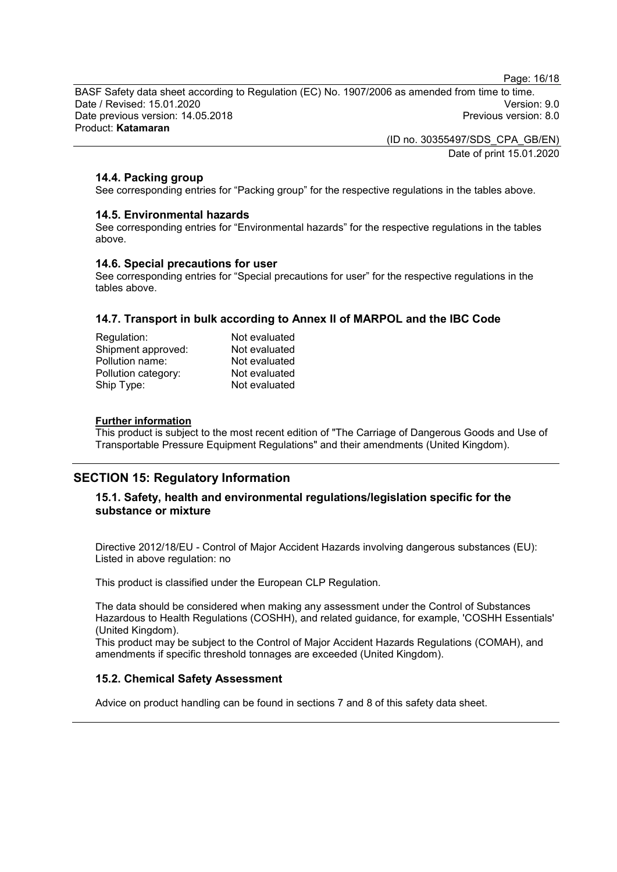Page: 16/18

BASF Safety data sheet according to Regulation (EC) No. 1907/2006 as amended from time to time. Date / Revised: 15.01.2020 Version: 9.0 Date previous version: 14.05.2018 Product: **Katamaran**

> (ID no. 30355497/SDS\_CPA\_GB/EN) Date of print 15.01.2020

### **14.4. Packing group**

See corresponding entries for "Packing group" for the respective regulations in the tables above.

#### **14.5. Environmental hazards**

See corresponding entries for "Environmental hazards" for the respective regulations in the tables above.

#### **14.6. Special precautions for user**

See corresponding entries for "Special precautions for user" for the respective regulations in the tables above.

#### **14.7. Transport in bulk according to Annex II of MARPOL and the IBC Code**

| Regulation:         | Not evaluated |
|---------------------|---------------|
| Shipment approved:  | Not evaluated |
| Pollution name:     | Not evaluated |
| Pollution category: | Not evaluated |
| Ship Type:          | Not evaluated |
|                     |               |

#### **Further information**

This product is subject to the most recent edition of "The Carriage of Dangerous Goods and Use of Transportable Pressure Equipment Regulations" and their amendments (United Kingdom).

# **SECTION 15: Regulatory Information**

#### **15.1. Safety, health and environmental regulations/legislation specific for the substance or mixture**

Directive 2012/18/EU - Control of Major Accident Hazards involving dangerous substances (EU): Listed in above regulation: no

This product is classified under the European CLP Regulation.

The data should be considered when making any assessment under the Control of Substances Hazardous to Health Regulations (COSHH), and related guidance, for example, 'COSHH Essentials' (United Kingdom).

This product may be subject to the Control of Major Accident Hazards Regulations (COMAH), and amendments if specific threshold tonnages are exceeded (United Kingdom).

# **15.2. Chemical Safety Assessment**

Advice on product handling can be found in sections 7 and 8 of this safety data sheet.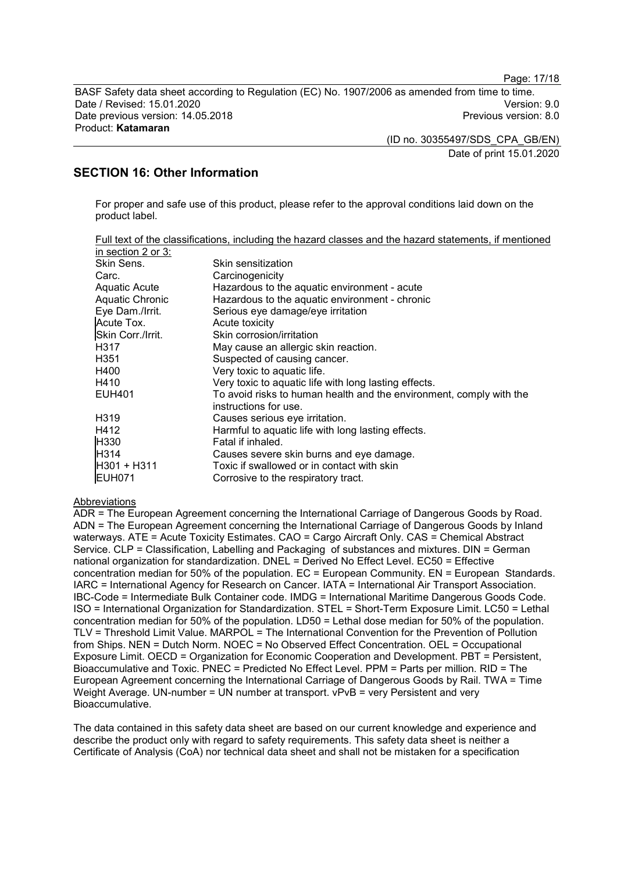Page: 17/18

BASF Safety data sheet according to Regulation (EC) No. 1907/2006 as amended from time to time. Date / Revised: 15.01.2020 Version: 9.0 Date previous version: 14.05.2018 Product: **Katamaran**

> (ID no. 30355497/SDS\_CPA\_GB/EN) Date of print 15.01.2020

# **SECTION 16: Other Information**

For proper and safe use of this product, please refer to the approval conditions laid down on the product label.

|                      | Full text of the classifications, including the hazard classes and the hazard statements, if mentioned |
|----------------------|--------------------------------------------------------------------------------------------------------|
| in section 2 or $3:$ |                                                                                                        |
| Skin Sens.           | Skin sensitization                                                                                     |
| Carc.                | Carcinogenicity                                                                                        |
| Aquatic Acute        | Hazardous to the aquatic environment - acute                                                           |
| Aquatic Chronic      | Hazardous to the aquatic environment - chronic                                                         |
| Eye Dam./Irrit.      | Serious eye damage/eye irritation                                                                      |
| Acute Tox.           | Acute toxicity                                                                                         |
| Skin Corr./Irrit.    | Skin corrosion/irritation                                                                              |
| H317                 | May cause an allergic skin reaction.                                                                   |
| H <sub>351</sub>     | Suspected of causing cancer.                                                                           |
| H400                 | Very toxic to aquatic life.                                                                            |
| H410                 | Very toxic to aquatic life with long lasting effects.                                                  |
| <b>EUH401</b>        | To avoid risks to human health and the environment, comply with the<br>instructions for use.           |
| H319                 | Causes serious eye irritation.                                                                         |
| H412                 | Harmful to aquatic life with long lasting effects.                                                     |
| H330                 | Fatal if inhaled.                                                                                      |
| <b>IH314</b>         | Causes severe skin burns and eye damage.                                                               |
| H301 + H311          | Toxic if swallowed or in contact with skin                                                             |
| EUH071               | Corrosive to the respiratory tract.                                                                    |

#### Abbreviations

ADR = The European Agreement concerning the International Carriage of Dangerous Goods by Road. ADN = The European Agreement concerning the International Carriage of Dangerous Goods by Inland waterways. ATE = Acute Toxicity Estimates. CAO = Cargo Aircraft Only. CAS = Chemical Abstract Service. CLP = Classification, Labelling and Packaging of substances and mixtures. DIN = German national organization for standardization. DNEL = Derived No Effect Level. EC50 = Effective concentration median for 50% of the population. EC = European Community. EN = European Standards. IARC = International Agency for Research on Cancer. IATA = International Air Transport Association. IBC-Code = Intermediate Bulk Container code. IMDG = International Maritime Dangerous Goods Code. ISO = International Organization for Standardization. STEL = Short-Term Exposure Limit. LC50 = Lethal concentration median for 50% of the population. LD50 = Lethal dose median for 50% of the population. TLV = Threshold Limit Value. MARPOL = The International Convention for the Prevention of Pollution from Ships. NEN = Dutch Norm. NOEC = No Observed Effect Concentration. OEL = Occupational Exposure Limit. OECD = Organization for Economic Cooperation and Development. PBT = Persistent, Bioaccumulative and Toxic. PNEC = Predicted No Effect Level. PPM = Parts per million. RID = The European Agreement concerning the International Carriage of Dangerous Goods by Rail. TWA = Time Weight Average. UN-number = UN number at transport. vPvB = very Persistent and very Bioaccumulative.

The data contained in this safety data sheet are based on our current knowledge and experience and describe the product only with regard to safety requirements. This safety data sheet is neither a Certificate of Analysis (CoA) nor technical data sheet and shall not be mistaken for a specification